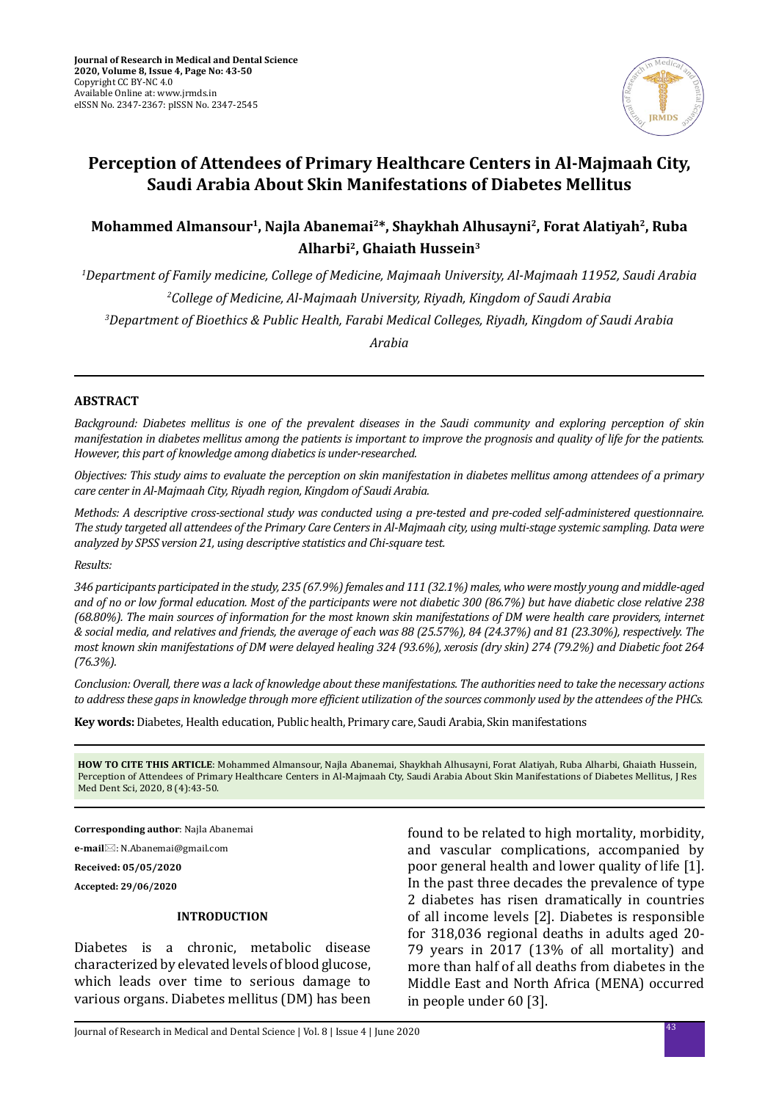

# **Perception of Attendees of Primary Healthcare Centers in Al-Majmaah City, Saudi Arabia About Skin Manifestations of Diabetes Mellitus**

## **Mohammed Almansour1, Najla Abanemai2\*, Shaykhah Alhusayni2, Forat Alatiyah2, Ruba Alharbi2, Ghaiath Hussein3**

*1 Department of Family medicine, College of Medicine, Majmaah University, Al-Majmaah 11952, Saudi Arabia 2 College of Medicine, Al-Majmaah University, Riyadh, Kingdom of Saudi Arabia 3 Department of Bioethics & Public Health, Farabi Medical Colleges, Riyadh, Kingdom of Saudi Arabia*

*Arabia* 

#### **ABSTRACT**

*Background: Diabetes mellitus is one of the prevalent diseases in the Saudi community and exploring perception of skin manifestation in diabetes mellitus among the patients is important to improve the prognosis and quality of life for the patients. However, this part of knowledge among diabetics is under-researched.*

*Objectives: This study aims to evaluate the perception on skin manifestation in diabetes mellitus among attendees of a primary care center in Al-Majmaah City, Riyadh region, Kingdom of Saudi Arabia.*

*Methods: A descriptive cross-sectional study was conducted using a pre-tested and pre-coded self-administered questionnaire. The study targeted all attendees of the Primary Care Centers in Al-Majmaah city, using multi-stage systemic sampling. Data were analyzed by SPSS version 21, using descriptive statistics and Chi-square test.*

*Results:*

*346 participants participated in the study, 235 (67.9%) females and 111 (32.1%) males, who were mostly young and middle-aged and of no or low formal education. Most of the participants were not diabetic 300 (86.7%) but have diabetic close relative 238 (68.80%). The main sources of information for the most known skin manifestations of DM were health care providers, internet & social media, and relatives and friends, the average of each was 88 (25.57%), 84 (24.37%) and 81 (23.30%), respectively. The most known skin manifestations of DM were delayed healing 324 (93.6%), xerosis (dry skin) 274 (79.2%) and Diabetic foot 264 (76.3%).* 

*Conclusion: Overall, there was a lack of knowledge about these manifestations. The authorities need to take the necessary actions to address these gaps in knowledge through more efficient utilization of the sources commonly used by the attendees of the PHCs.*

**Key words:** Diabetes, Health education, Public health, Primary care, Saudi Arabia, Skin manifestations

**HOW TO CITE THIS ARTICLE**: Mohammed Almansour, Najla Abanemai, Shaykhah Alhusayni, Forat Alatiyah, Ruba Alharbi, Ghaiath Hussein, Perception of Attendees of Primary Healthcare Centers in Al-Majmaah Cty, Saudi Arabia About Skin Manifestations of Diabetes Mellitus, J Res Med Dent Sci, 2020, 8 (4):43-50.

**Corresponding author**: Najla Abanemai

**e-mail**: N.Abanemai@gmail.com

**Received: 05/05/2020**

**Accepted: 29/06/2020**

#### **INTRODUCTION**

Diabetes is a chronic, metabolic disease characterized by elevated levels of blood glucose, which leads over time to serious damage to various organs. Diabetes mellitus (DM) has been found to be related to high mortality, morbidity, and vascular complications, accompanied by poor general health and lower quality of life [1]. In the past three decades the prevalence of type 2 diabetes has risen dramatically in countries of all income levels [2]. Diabetes is responsible for 318,036 regional deaths in adults aged 20- 79 years in 2017 (13% of all mortality) and more than half of all deaths from diabetes in the Middle East and North Africa (MENA) occurred in people under 60 [3].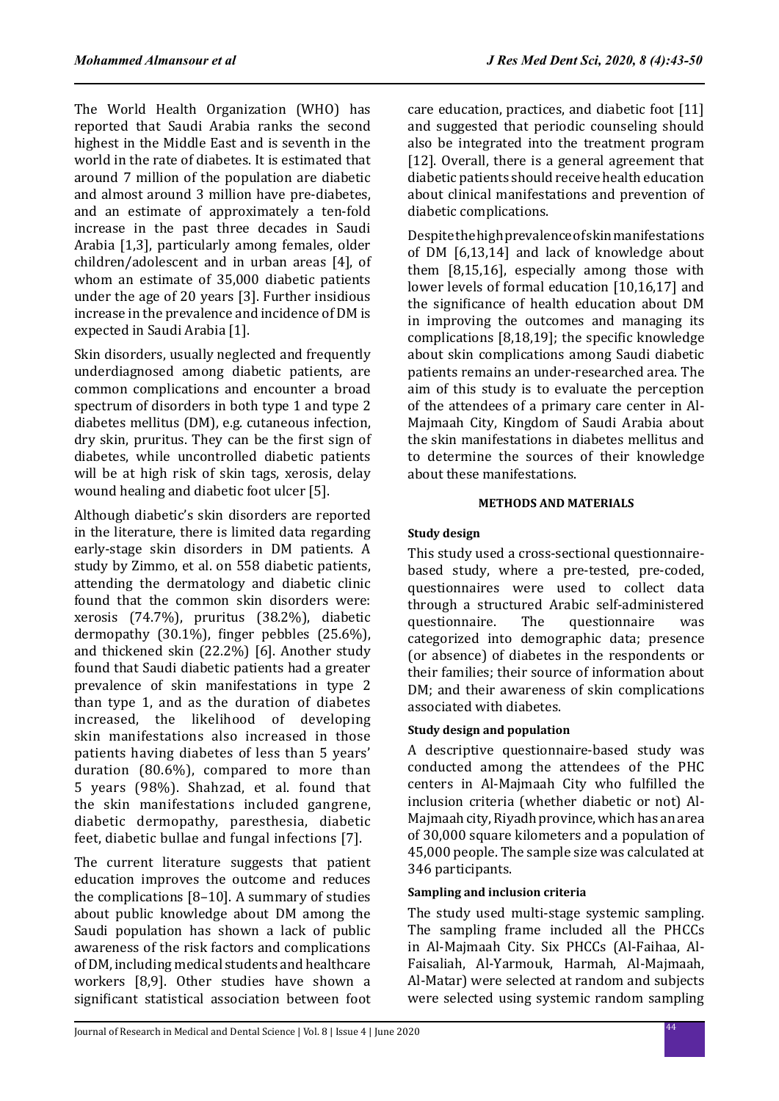The World Health Organization (WHO) has reported that Saudi Arabia ranks the second highest in the Middle East and is seventh in the world in the rate of diabetes. It is estimated that around 7 million of the population are diabetic and almost around 3 million have pre-diabetes, and an estimate of approximately a ten-fold increase in the past three decades in Saudi Arabia [1,3], particularly among females, older children/adolescent and in urban areas [4], of whom an estimate of 35,000 diabetic patients under the age of 20 years [3]. Further insidious increase in the prevalence and incidence of DM is expected in Saudi Arabia [1].

Skin disorders, usually neglected and frequently underdiagnosed among diabetic patients, are common complications and encounter a broad spectrum of disorders in both type 1 and type 2 diabetes mellitus (DM), e.g. cutaneous infection, dry skin, pruritus. They can be the first sign of diabetes, while uncontrolled diabetic patients will be at high risk of skin tags, xerosis, delay wound healing and diabetic foot ulcer [5].

Although diabetic's skin disorders are reported in the literature, there is limited data regarding early-stage skin disorders in DM patients. A study by Zimmo, et al. on 558 diabetic patients, attending the dermatology and diabetic clinic found that the common skin disorders were: xerosis (74.7%), pruritus (38.2%), diabetic dermopathy (30.1%), finger pebbles (25.6%), and thickened skin (22.2%) [6]. Another study found that Saudi diabetic patients had a greater prevalence of skin manifestations in type 2 than type 1, and as the duration of diabetes increased, the likelihood of developing skin manifestations also increased in those patients having diabetes of less than 5 years' duration (80.6%), compared to more than 5 years (98%). Shahzad, et al. found that the skin manifestations included gangrene, diabetic dermopathy, paresthesia, diabetic feet, diabetic bullae and fungal infections [7].

The current literature suggests that patient education improves the outcome and reduces the complications [8–10]. A summary of studies about public knowledge about DM among the Saudi population has shown a lack of public awareness of the risk factors and complications of DM, including medical students and healthcare workers [8,9]. Other studies have shown a significant statistical association between foot care education, practices, and diabetic foot [11] and suggested that periodic counseling should also be integrated into the treatment program [12]. Overall, there is a general agreement that diabetic patients should receive health education about clinical manifestations and prevention of diabetic complications.

Despite the high prevalence of skin manifestations of DM [6,13,14] and lack of knowledge about them [8,15,16], especially among those with lower levels of formal education [10,16,17] and the significance of health education about DM in improving the outcomes and managing its complications [8,18,19]; the specific knowledge about skin complications among Saudi diabetic patients remains an under-researched area. The aim of this study is to evaluate the perception of the attendees of a primary care center in Al-Majmaah City, Kingdom of Saudi Arabia about the skin manifestations in diabetes mellitus and to determine the sources of their knowledge about these manifestations.

#### **METHODS AND MATERIALS**

## **Study design**

This study used a cross-sectional questionnairebased study, where a pre-tested, pre-coded, questionnaires were used to collect data through a structured Arabic self-administered questionnaire categorized into demographic data; presence (or absence) of diabetes in the respondents or their families; their source of information about DM; and their awareness of skin complications associated with diabetes.

## **Study design and population**

A descriptive questionnaire-based study was conducted among the attendees of the PHC centers in Al-Majmaah City who fulfilled the inclusion criteria (whether diabetic or not) Al-Majmaah city, Riyadh province, which has an area of 30,000 square kilometers and a population of 45,000 people. The sample size was calculated at 346 participants.

## **Sampling and inclusion criteria**

The study used multi-stage systemic sampling. The sampling frame included all the PHCCs in Al-Majmaah City. Six PHCCs (Al-Faihaa, Al-Faisaliah, Al-Yarmouk, Harmah, Al-Majmaah, Al-Matar) were selected at random and subjects were selected using systemic random sampling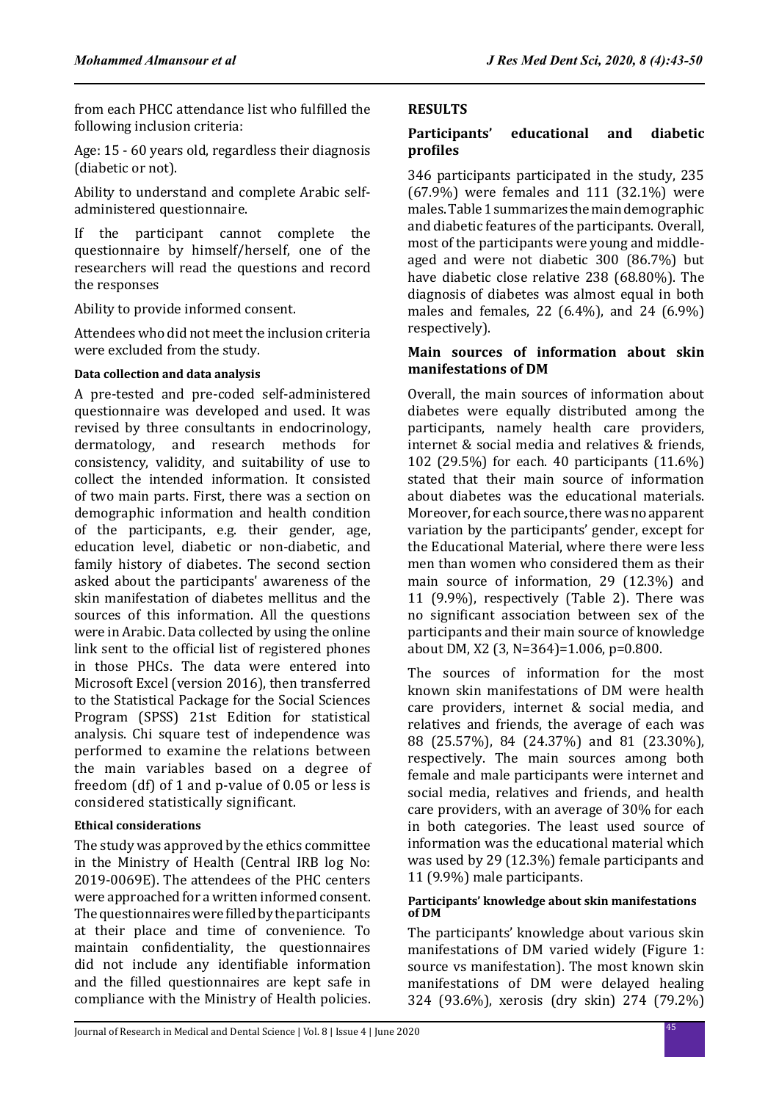from each PHCC attendance list who fulfilled the following inclusion criteria:

Age: 15 - 60 years old, regardless their diagnosis (diabetic or not).

Ability to understand and complete Arabic selfadministered questionnaire.

If the participant cannot complete the questionnaire by himself/herself, one of the researchers will read the questions and record the responses

Ability to provide informed consent.

Attendees who did not meet the inclusion criteria were excluded from the study.

## **Data collection and data analysis**

A pre-tested and pre-coded self-administered questionnaire was developed and used. It was revised by three consultants in endocrinology, dermatology, and research methods for consistency, validity, and suitability of use to collect the intended information. It consisted of two main parts. First, there was a section on demographic information and health condition of the participants, e.g. their gender, age, education level, diabetic or non-diabetic, and family history of diabetes. The second section asked about the participants' awareness of the skin manifestation of diabetes mellitus and the sources of this information. All the questions were in Arabic. Data collected by using the online link sent to the official list of registered phones in those PHCs. The data were entered into Microsoft Excel (version 2016), then transferred to the Statistical Package for the Social Sciences Program (SPSS) 21st Edition for statistical analysis. Chi square test of independence was performed to examine the relations between the main variables based on a degree of freedom (df) of 1 and p-value of 0.05 or less is considered statistically significant.

## **Ethical considerations**

The study was approved by the ethics committee in the Ministry of Health (Central IRB log No: 2019-0069E). The attendees of the PHC centers were approached for a written informed consent. The questionnaires were filled by the participants at their place and time of convenience. To maintain confidentiality, the questionnaires did not include any identifiable information and the filled questionnaires are kept safe in compliance with the Ministry of Health policies.

## **RESULTS**

## **Participants' educational and diabetic profiles**

346 participants participated in the study, 235 (67.9%) were females and 111 (32.1%) were males. Table 1 summarizes the main demographic and diabetic features of the participants. Overall, most of the participants were young and middleaged and were not diabetic 300 (86.7%) but have diabetic close relative 238 (68.80%). The diagnosis of diabetes was almost equal in both males and females, 22 (6.4%), and 24 (6.9%) respectively).

## **Main sources of information about skin manifestations of DM**

Overall, the main sources of information about diabetes were equally distributed among the participants, namely health care providers, internet & social media and relatives & friends, 102 (29.5%) for each. 40 participants (11.6%) stated that their main source of information about diabetes was the educational materials. Moreover, for each source, there was no apparent variation by the participants' gender, except for the Educational Material, where there were less men than women who considered them as their main source of information, 29 (12.3%) and 11 (9.9%), respectively (Table 2). There was no significant association between sex of the participants and their main source of knowledge about DM, X2 (3, N=364)=1.006, p=0.800.

The sources of information for the most known skin manifestations of DM were health care providers, internet & social media, and relatives and friends, the average of each was 88 (25.57%), 84 (24.37%) and 81 (23.30%), respectively. The main sources among both female and male participants were internet and social media, relatives and friends, and health care providers, with an average of 30% for each in both categories. The least used source of information was the educational material which was used by 29 (12.3%) female participants and 11 (9.9%) male participants.

#### **Participants' knowledge about skin manifestations of DM**

The participants' knowledge about various skin manifestations of DM varied widely (Figure 1: source vs manifestation). The most known skin manifestations of DM were delayed healing 324 (93.6%), xerosis (dry skin) 274 (79.2%)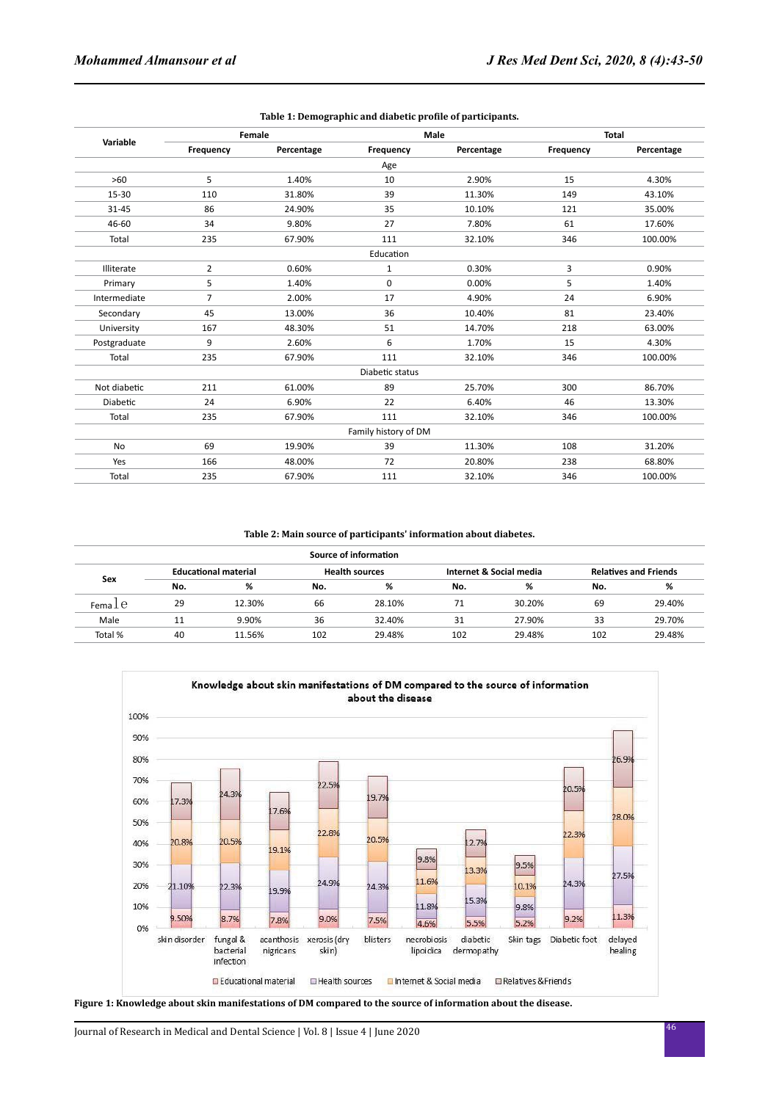| Variable     | Female         |            |                      | Male       | <b>Total</b> |            |  |
|--------------|----------------|------------|----------------------|------------|--------------|------------|--|
|              | Frequency      | Percentage | Frequency            | Percentage | Frequency    | Percentage |  |
|              |                |            | Age                  |            |              |            |  |
| >60          | 5              | 1.40%      | 10                   | 2.90%      | 15           | 4.30%      |  |
| 15-30        | 110            | 31.80%     | 39                   | 11.30%     | 149          | 43.10%     |  |
| $31 - 45$    | 86             | 24.90%     | 35                   | 10.10%     | 121          | 35.00%     |  |
| 46-60        | 34             | 9.80%      | 27                   | 7.80%      | 61           | 17.60%     |  |
| Total        | 235            | 67.90%     | 111                  | 32.10%     | 346          | 100.00%    |  |
|              |                |            | Education            |            |              |            |  |
| Illiterate   | 2              | 0.60%      | $\mathbf{1}$         | 0.30%      | 3            | 0.90%      |  |
| Primary      | 5              | 1.40%      | 0                    | 0.00%      | 5            | 1.40%      |  |
| Intermediate | $\overline{7}$ | 2.00%      | 17                   | 4.90%      | 24           | 6.90%      |  |
| Secondary    | 45             | 13.00%     | 36                   | 10.40%     | 81           | 23.40%     |  |
| University   | 167            | 48.30%     | 51                   | 14.70%     | 218          | 63.00%     |  |
| Postgraduate | 9              | 2.60%      | 6                    | 1.70%      | 15           | 4.30%      |  |
| Total        | 235            | 67.90%     | 111                  | 32.10%     | 346          | 100.00%    |  |
|              |                |            | Diabetic status      |            |              |            |  |
| Not diabetic | 211            | 61.00%     | 89                   | 25.70%     | 300          | 86.70%     |  |
| Diabetic     | 24             | 6.90%      | 22                   | 6.40%      | 46           | 13.30%     |  |
| Total        | 235            | 67.90%     | 111                  | 32.10%     | 346          | 100.00%    |  |
|              |                |            | Family history of DM |            |              |            |  |
| <b>No</b>    | 69             | 19.90%     | 39                   | 11.30%     | 108          | 31.20%     |  |
| Yes          | 166            | 48.00%     | 72                   | 20.80%     | 238          | 68.80%     |  |
| Total        | 235            | 67.90%     | 111                  | 32.10%     | 346          | 100.00%    |  |

#### **Table 1: Demographic and diabetic profile of participants.**

#### **Table 2: Main source of participants' information about diabetes.**

|           | Source of information |                             |     |                       |     |                         |     |                              |  |  |  |  |
|-----------|-----------------------|-----------------------------|-----|-----------------------|-----|-------------------------|-----|------------------------------|--|--|--|--|
| Sex       |                       | <b>Educational material</b> |     | <b>Health sources</b> |     | Internet & Social media |     | <b>Relatives and Friends</b> |  |  |  |  |
|           | No.                   | %                           | No. | %                     | No. | %                       | No. | %                            |  |  |  |  |
| Fema $1e$ | 29                    | 12.30%                      | 66  | 28.10%                | 71  | 30.20%                  | 69  | 29.40%                       |  |  |  |  |
| Male      | 11                    | 9.90%                       | 36  | 32.40%                | 31  | 27.90%                  | 33  | 29.70%                       |  |  |  |  |
| Total %   | 40                    | 11.56%                      | 102 | 29.48%                | 102 | 29.48%                  | 102 | 29.48%                       |  |  |  |  |



**Figure 1: Knowledge about skin manifestations of DM compared to the source of information about the disease.**

<sup>46</sup> Journal of Research in Medical and Dental Science | Vol. 8 | Issue 4 | June 2020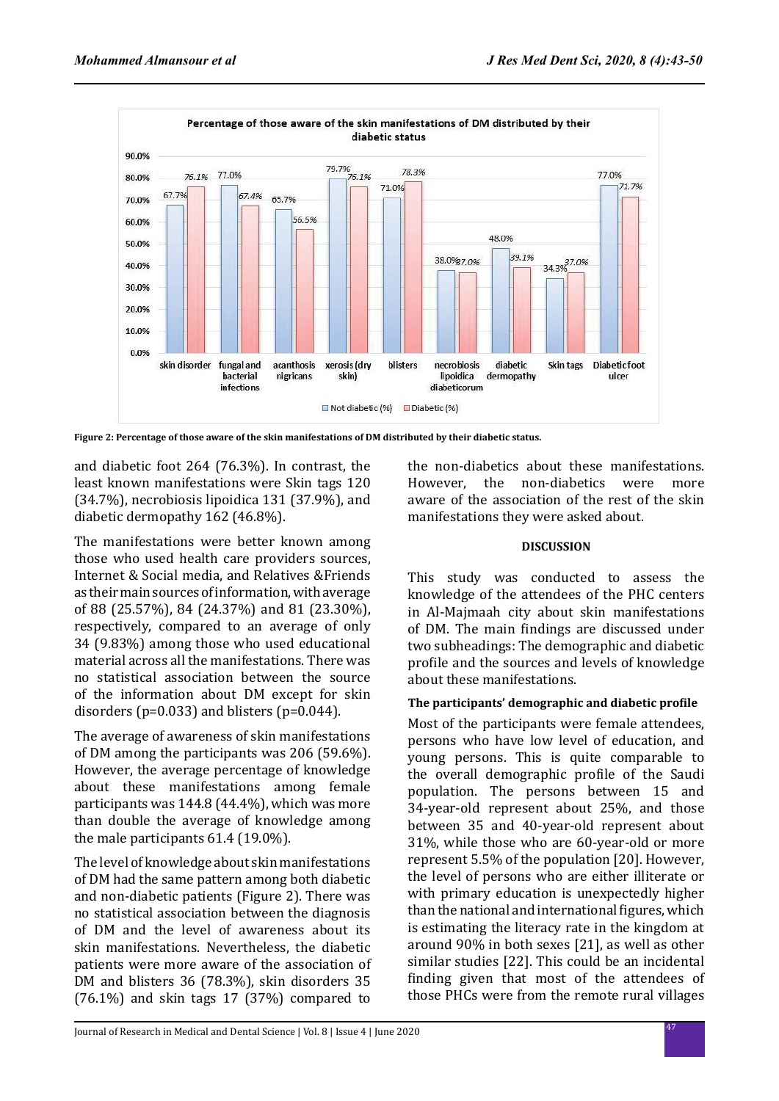

**Figure 2: Percentage of those aware of the skin manifestations of DM distributed by their diabetic status.**

and diabetic foot 264 (76.3%). In contrast, the least known manifestations were Skin tags 120 (34.7%), necrobiosis lipoidica 131 (37.9%), and diabetic dermopathy 162 (46.8%).

The manifestations were better known among those who used health care providers sources, Internet & Social media, and Relatives &Friends as their main sources of information, with average of 88 (25.57%), 84 (24.37%) and 81 (23.30%), respectively, compared to an average of only 34 (9.83%) among those who used educational material across all the manifestations. There was no statistical association between the source of the information about DM except for skin disorders (p=0.033) and blisters (p=0.044).

The average of awareness of skin manifestations of DM among the participants was 206 (59.6%). However, the average percentage of knowledge about these manifestations among female participants was 144.8 (44.4%), which was more than double the average of knowledge among the male participants 61.4 (19.0%).

The level of knowledge about skin manifestations of DM had the same pattern among both diabetic and non-diabetic patients (Figure 2). There was no statistical association between the diagnosis of DM and the level of awareness about its skin manifestations. Nevertheless, the diabetic patients were more aware of the association of DM and blisters 36 (78.3%), skin disorders 35 (76.1%) and skin tags 17 (37%) compared to

the non-diabetics about these manifestations.<br>However, the non-diabetics were more the non-diabetics were more aware of the association of the rest of the skin manifestations they were asked about.

#### **DISCUSSION**

This study was conducted to assess the knowledge of the attendees of the PHC centers in Al-Majmaah city about skin manifestations of DM. The main findings are discussed under two subheadings: The demographic and diabetic profile and the sources and levels of knowledge about these manifestations.

## **The participants' demographic and diabetic profile**

Most of the participants were female attendees, persons who have low level of education, and young persons. This is quite comparable to the overall demographic profile of the Saudi population. The persons between 15 and 34-year-old represent about 25%, and those between 35 and 40-year-old represent about 31%, while those who are 60-year-old or more represent 5.5% of the population [20]. However, the level of persons who are either illiterate or with primary education is unexpectedly higher than the national and international figures, which is estimating the literacy rate in the kingdom at around 90% in both sexes [21], as well as other similar studies [22]. This could be an incidental finding given that most of the attendees of those PHCs were from the remote rural villages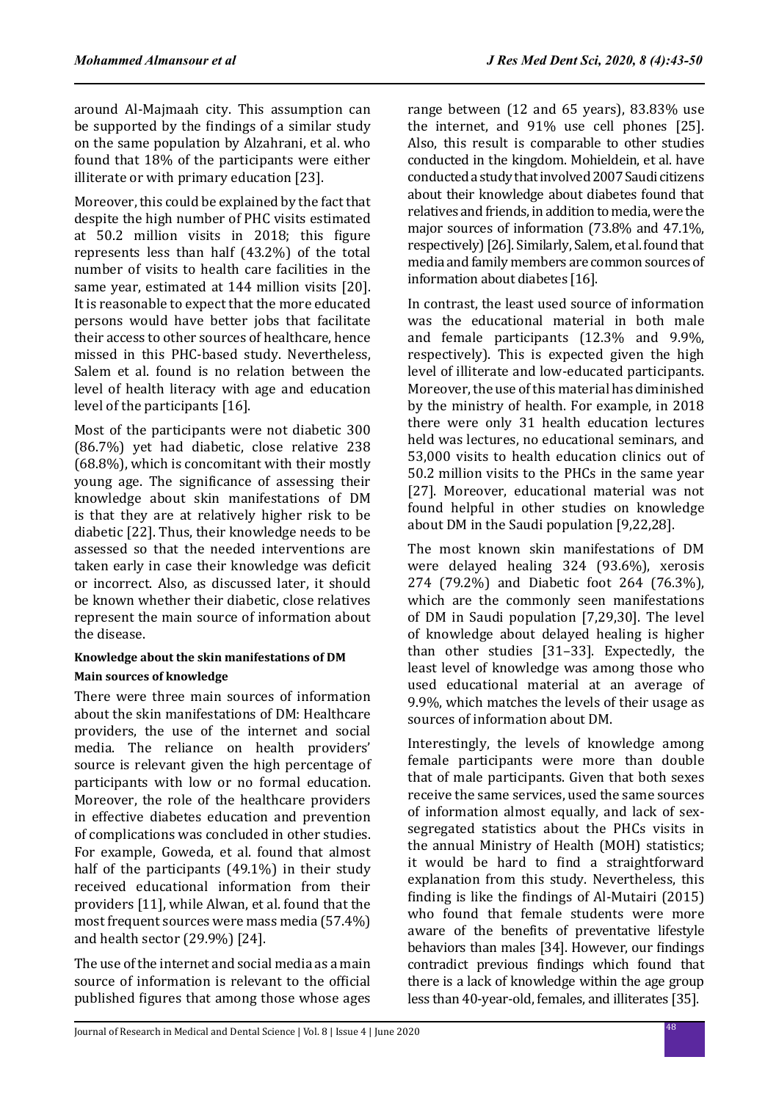around Al-Majmaah city. This assumption can be supported by the findings of a similar study on the same population by Alzahrani, et al. who found that 18% of the participants were either illiterate or with primary education [23].

Moreover, this could be explained by the fact that despite the high number of PHC visits estimated at 50.2 million visits in 2018; this figure represents less than half (43.2%) of the total number of visits to health care facilities in the same year, estimated at 144 million visits [20]. It is reasonable to expect that the more educated persons would have better jobs that facilitate their access to other sources of healthcare, hence missed in this PHC-based study. Nevertheless, Salem et al. found is no relation between the level of health literacy with age and education level of the participants [16].

Most of the participants were not diabetic 300 (86.7%) yet had diabetic, close relative 238 (68.8%), which is concomitant with their mostly young age. The significance of assessing their knowledge about skin manifestations of DM is that they are at relatively higher risk to be diabetic [22]. Thus, their knowledge needs to be assessed so that the needed interventions are taken early in case their knowledge was deficit or incorrect. Also, as discussed later, it should be known whether their diabetic, close relatives represent the main source of information about the disease.

## **Knowledge about the skin manifestations of DM Main sources of knowledge**

There were three main sources of information about the skin manifestations of DM: Healthcare providers, the use of the internet and social media. The reliance on health providers' source is relevant given the high percentage of participants with low or no formal education. Moreover, the role of the healthcare providers in effective diabetes education and prevention of complications was concluded in other studies. For example, Goweda, et al. found that almost half of the participants (49.1%) in their study received educational information from their providers [11], while Alwan, et al. found that the most frequent sources were mass media (57.4%) and health sector (29.9%) [24].

The use of the internet and social media as a main source of information is relevant to the official published figures that among those whose ages range between (12 and 65 years), 83.83% use the internet, and 91% use cell phones [25]. Also, this result is comparable to other studies conducted in the kingdom. Mohieldein, et al. have conducted a study that involved 2007 Saudi citizens about their knowledge about diabetes found that relatives and friends, in addition to media, were the major sources of information (73.8% and 47.1%, respectively) [26]. Similarly, Salem, et al. found that media and family members are common sources of information about diabetes [16].

In contrast, the least used source of information was the educational material in both male and female participants (12.3% and 9.9%, respectively). This is expected given the high level of illiterate and low-educated participants. Moreover, the use of this material has diminished by the ministry of health. For example, in 2018 there were only 31 health education lectures held was lectures, no educational seminars, and 53,000 visits to health education clinics out of 50.2 million visits to the PHCs in the same year [27]. Moreover, educational material was not found helpful in other studies on knowledge about DM in the Saudi population [9,22,28].

The most known skin manifestations of DM were delayed healing 324 (93.6%), xerosis 274 (79.2%) and Diabetic foot 264 (76.3%), which are the commonly seen manifestations of DM in Saudi population [7,29,30]. The level of knowledge about delayed healing is higher than other studies [31–33]. Expectedly, the least level of knowledge was among those who used educational material at an average of 9.9%, which matches the levels of their usage as sources of information about DM.

Interestingly, the levels of knowledge among female participants were more than double that of male participants. Given that both sexes receive the same services, used the same sources of information almost equally, and lack of sexsegregated statistics about the PHCs visits in the annual Ministry of Health (MOH) statistics; it would be hard to find a straightforward explanation from this study. Nevertheless, this finding is like the findings of Al-Mutairi (2015) who found that female students were more aware of the benefits of preventative lifestyle behaviors than males [34]. However, our findings contradict previous findings which found that there is a lack of knowledge within the age group less than 40-year-old, females, and illiterates [35].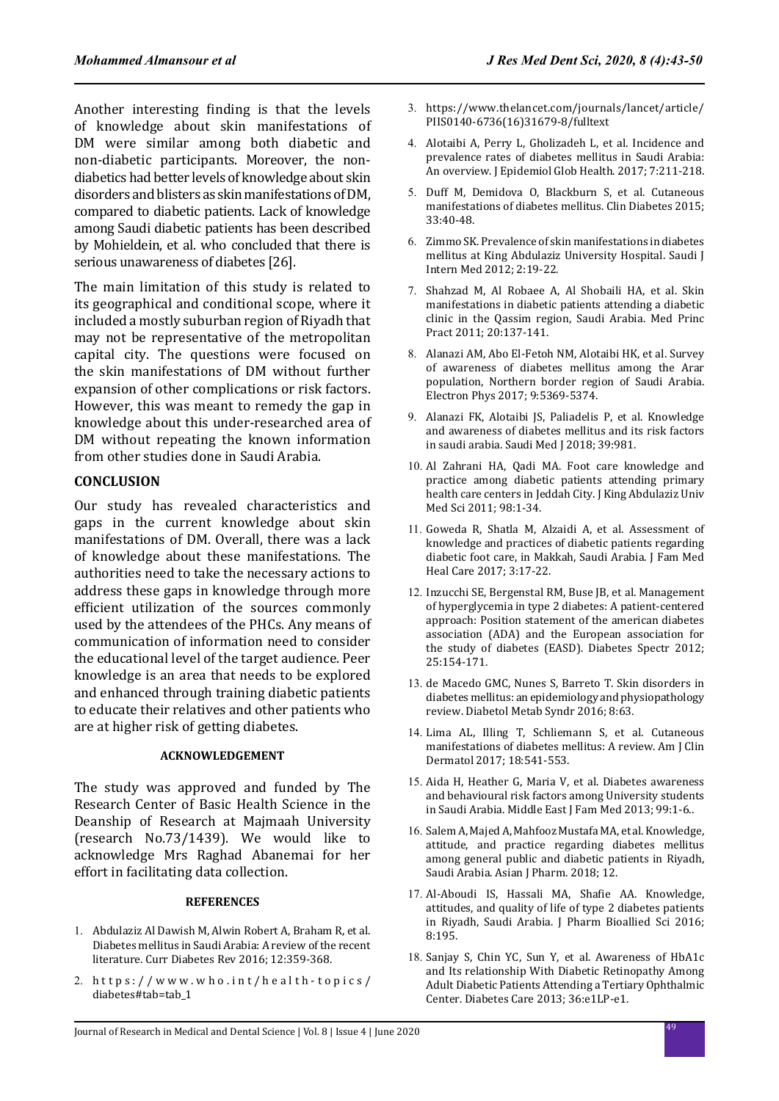Another interesting finding is that the levels of knowledge about skin manifestations of DM were similar among both diabetic and non-diabetic participants. Moreover, the nondiabetics had better levels of knowledge about skin disorders and blisters as skin manifestations of DM, compared to diabetic patients. Lack of knowledge among Saudi diabetic patients has been described by Mohieldein, et al. who concluded that there is serious unawareness of diabetes [26].

The main limitation of this study is related to its geographical and conditional scope, where it included a mostly suburban region of Riyadh that may not be representative of the metropolitan capital city. The questions were focused on the skin manifestations of DM without further expansion of other complications or risk factors. However, this was meant to remedy the gap in knowledge about this under-researched area of DM without repeating the known information from other studies done in Saudi Arabia.

#### **CONCLUSION**

Our study has revealed characteristics and gaps in the current knowledge about skin manifestations of DM. Overall, there was a lack of knowledge about these manifestations. The authorities need to take the necessary actions to address these gaps in knowledge through more efficient utilization of the sources commonly used by the attendees of the PHCs. Any means of communication of information need to consider the educational level of the target audience. Peer knowledge is an area that needs to be explored and enhanced through training diabetic patients to educate their relatives and other patients who are at higher risk of getting diabetes.

#### **ACKNOWLEDGEMENT**

The study was approved and funded by The Research Center of Basic Health Science in the Deanship of Research at Majmaah University (research No.73/1439). We would like to acknowledge Mrs Raghad Abanemai for her effort in facilitating data collection.

#### **REFERENCES**

- 1. Abdulaziz Al Dawish M, Alwin Robert A, Braham R, et al. Diabetes mellitus in Saudi Arabia: A review of the recent literature. Curr Diabetes Rev 2016; 12:359-368.
- 2. https://www.who.int/health-topics/ diabetes#tab=tab\_1
- 3. https://www.thelancet.com/journals/lancet/article/ PIIS0140-6736(16)31679-8/fulltext
- 4. Alotaibi A, Perry L, Gholizadeh L, et al. Incidence and prevalence rates of diabetes mellitus in Saudi Arabia: An overview. J Epidemiol Glob Health. 2017; 7:211-218.
- 5. Duff M, Demidova O, Blackburn S, et al. Cutaneous manifestations of diabetes mellitus. Clin Diabetes 2015; 33:40-48.
- 6. Zimmo SK. Prevalence of skin manifestations in diabetes mellitus at King Abdulaziz University Hospital. Saudi J Intern Med 2012; 2:19-22.
- 7. Shahzad M, Al Robaee A, Al Shobaili HA, et al. Skin manifestations in diabetic patients attending a diabetic clinic in the Qassim region, Saudi Arabia. Med Princ Pract 2011; 20:137-141.
- 8. Alanazi AM, Abo El-Fetoh NM, Alotaibi HK, et al. Survey of awareness of diabetes mellitus among the Arar population, Northern border region of Saudi Arabia. Electron Phys 2017; 9:5369-5374.
- 9. Alanazi FK, Alotaibi JS, Paliadelis P, et al. Knowledge and awareness of diabetes mellitus and its risk factors in saudi arabia. Saudi Med J 2018; 39:981.
- 10. Al Zahrani HA, Qadi MA. Foot care knowledge and practice among diabetic patients attending primary health care centers in Jeddah City. J King Abdulaziz Univ Med Sci 2011; 98:1-34.
- 11. Goweda R, Shatla M, Alzaidi A, et al. Assessment of knowledge and practices of diabetic patients regarding diabetic foot care, in Makkah, Saudi Arabia. J Fam Med Heal Care 2017; 3:17-22.
- 12. Inzucchi SE, Bergenstal RM, Buse JB, et al. Management of hyperglycemia in type 2 diabetes: A patient-centered approach: Position statement of the american diabetes association (ADA) and the European association for the study of diabetes (EASD). Diabetes Spectr 2012; 25:154-171.
- 13. de Macedo GMC, Nunes S, Barreto T. Skin disorders in diabetes mellitus: an epidemiology and physiopathology review. Diabetol Metab Syndr 2016; 8:63.
- 14. Lima AL, Illing T, Schliemann S, et al. Cutaneous manifestations of diabetes mellitus: A review. Am J Clin Dermatol 2017; 18:541-553.
- 15. Aida H, Heather G, Maria V, et al. Diabetes awareness and behavioural risk factors among University students in Saudi Arabia. Middle East J Fam Med 2013; 99:1-6..
- 16. Salem A, Majed A, Mahfooz Mustafa MA, et al. Knowledge, attitude, and practice regarding diabetes mellitus among general public and diabetic patients in Riyadh, Saudi Arabia. Asian J Pharm. 2018: 12.
- 17. Al-Aboudi IS, Hassali MA, Shafie AA. Knowledge, attitudes, and quality of life of type 2 diabetes patients in Riyadh, Saudi Arabia. J Pharm Bioallied Sci 2016; 8:195.
- 18. Sanjay S, Chin YC, Sun Y, et al. Awareness of HbA1c and Its relationship With Diabetic Retinopathy Among Adult Diabetic Patients Attending a Tertiary Ophthalmic Center. Diabetes Care 2013; 36:e1LP-e1.